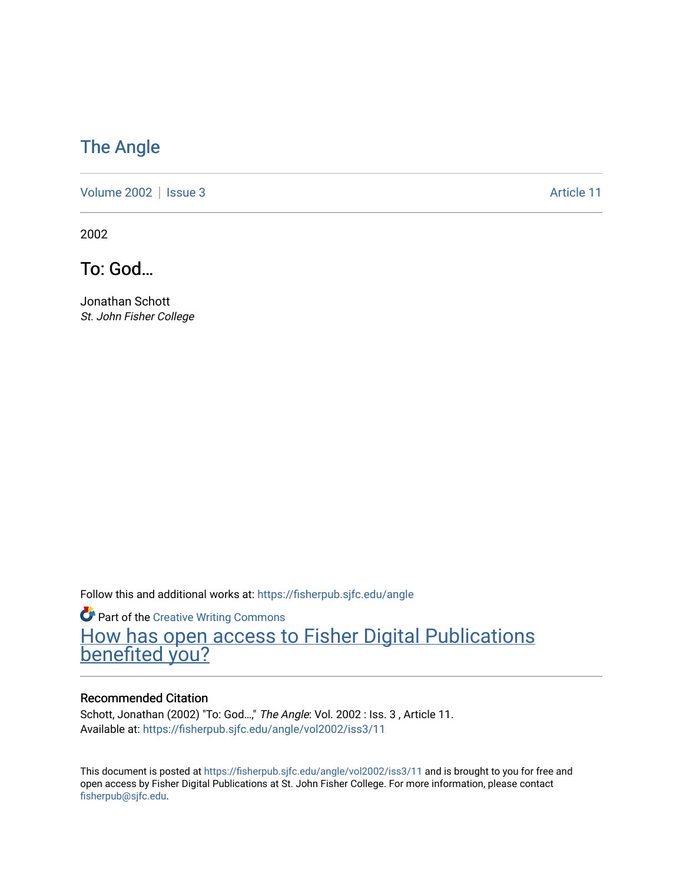## [The Angle](https://fisherpub.sjfc.edu/angle)

[Volume 2002](https://fisherpub.sjfc.edu/angle/vol2002) | [Issue 3](https://fisherpub.sjfc.edu/angle/vol2002/iss3) Article 11

2002

To: God…

Jonathan Schott St. John Fisher College

Follow this and additional works at: [https://fisherpub.sjfc.edu/angle](https://fisherpub.sjfc.edu/angle?utm_source=fisherpub.sjfc.edu%2Fangle%2Fvol2002%2Fiss3%2F11&utm_medium=PDF&utm_campaign=PDFCoverPages)

**Part of the Creative Writing Commons** [How has open access to Fisher Digital Publications](https://docs.google.com/forms/d/14zrnDfH9d1wcdq8oG_-gFabAsxfcH5claltx85ZWyTg/viewform?entry.1394608989=https://fisherpub.sjfc.edu/angle/vol2002/iss3/11%3Chttps://docs.google.com/forms/d/14zrnDfH9d1wcdq8oG_-gFabAsxfcH5claltx85ZWyTg/viewform?entry.1394608989=%7bhttps://fisherpub.sjfc.edu/angle/vol2002/iss3/11%7d) [benefited you?](https://docs.google.com/forms/d/14zrnDfH9d1wcdq8oG_-gFabAsxfcH5claltx85ZWyTg/viewform?entry.1394608989=https://fisherpub.sjfc.edu/angle/vol2002/iss3/11%3Chttps://docs.google.com/forms/d/14zrnDfH9d1wcdq8oG_-gFabAsxfcH5claltx85ZWyTg/viewform?entry.1394608989=%7bhttps://fisherpub.sjfc.edu/angle/vol2002/iss3/11%7d)

#### Recommended Citation

Schott, Jonathan (2002) "To: God…," The Angle: Vol. 2002 : Iss. 3 , Article 11. Available at: [https://fisherpub.sjfc.edu/angle/vol2002/iss3/11](https://fisherpub.sjfc.edu/angle/vol2002/iss3/11?utm_source=fisherpub.sjfc.edu%2Fangle%2Fvol2002%2Fiss3%2F11&utm_medium=PDF&utm_campaign=PDFCoverPages) 

This document is posted at <https://fisherpub.sjfc.edu/angle/vol2002/iss3/11> and is brought to you for free and open access by Fisher Digital Publications at St. John Fisher College. For more information, please contact [fisherpub@sjfc.edu](mailto:fisherpub@sjfc.edu).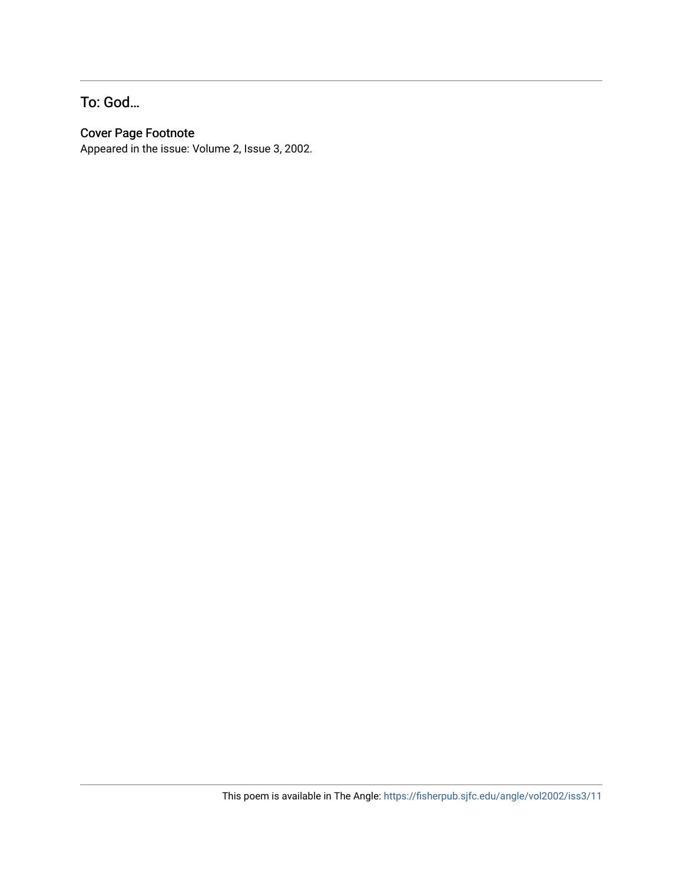### To: God…

### Cover Page Footnote

Appeared in the issue: Volume 2, Issue 3, 2002.